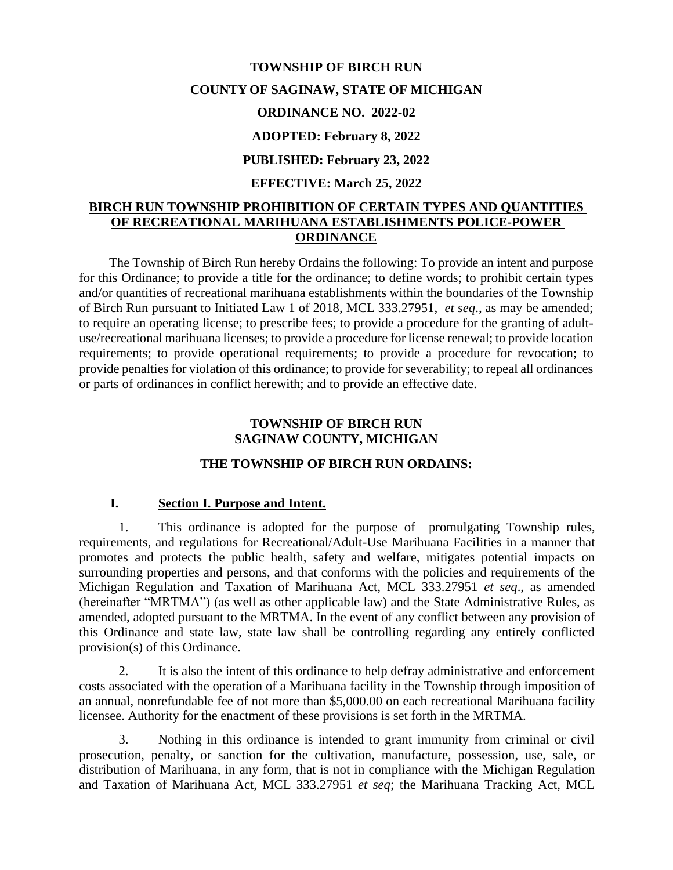# **TOWNSHIP OF BIRCH RUN COUNTY OF SAGINAW, STATE OF MICHIGAN ORDINANCE NO. 2022-02 ADOPTED: February 8, 2022 PUBLISHED: February 23, 2022**

#### **EFFECTIVE: March 25, 2022**

## **BIRCH RUN TOWNSHIP PROHIBITION OF CERTAIN TYPES AND QUANTITIES OF RECREATIONAL MARIHUANA ESTABLISHMENTS POLICE-POWER ORDINANCE**

The Township of Birch Run hereby Ordains the following: To provide an intent and purpose for this Ordinance; to provide a title for the ordinance; to define words; to prohibit certain types and/or quantities of recreational marihuana establishments within the boundaries of the Township of Birch Run pursuant to Initiated Law 1 of 2018, MCL 333.27951, *et seq*., as may be amended; to require an operating license; to prescribe fees; to provide a procedure for the granting of adultuse/recreational marihuana licenses; to provide a procedure for license renewal; to provide location requirements; to provide operational requirements; to provide a procedure for revocation; to provide penalties for violation of this ordinance; to provide for severability; to repeal all ordinances or parts of ordinances in conflict herewith; and to provide an effective date.

## **TOWNSHIP OF BIRCH RUN SAGINAW COUNTY, MICHIGAN**

## **THE TOWNSHIP OF BIRCH RUN ORDAINS:**

## **I. Section I. Purpose and Intent.**

1. This ordinance is adopted for the purpose of promulgating Township rules, requirements, and regulations for Recreational/Adult-Use Marihuana Facilities in a manner that promotes and protects the public health, safety and welfare, mitigates potential impacts on surrounding properties and persons, and that conforms with the policies and requirements of the Michigan Regulation and Taxation of Marihuana Act, MCL 333.27951 *et seq*., as amended (hereinafter "MRTMA") (as well as other applicable law) and the State Administrative Rules, as amended, adopted pursuant to the MRTMA. In the event of any conflict between any provision of this Ordinance and state law, state law shall be controlling regarding any entirely conflicted provision(s) of this Ordinance.

2. It is also the intent of this ordinance to help defray administrative and enforcement costs associated with the operation of a Marihuana facility in the Township through imposition of an annual, nonrefundable fee of not more than \$5,000.00 on each recreational Marihuana facility licensee. Authority for the enactment of these provisions is set forth in the MRTMA.

3. Nothing in this ordinance is intended to grant immunity from criminal or civil prosecution, penalty, or sanction for the cultivation, manufacture, possession, use, sale, or distribution of Marihuana, in any form, that is not in compliance with the Michigan Regulation and Taxation of Marihuana Act, MCL 333.27951 *et seq*; the Marihuana Tracking Act, MCL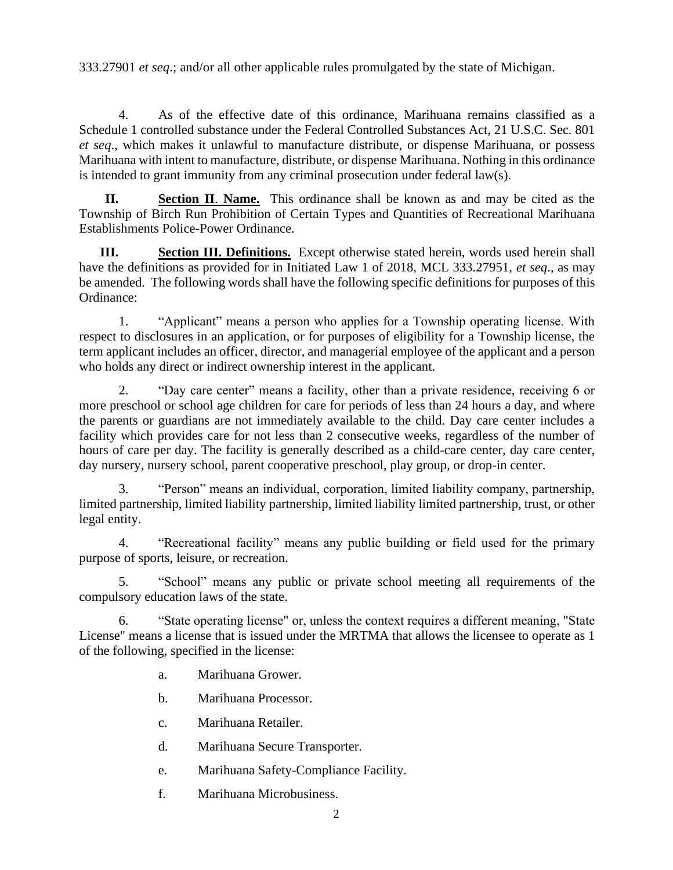333.27901 *et seq*.; and/or all other applicable rules promulgated by the state of Michigan.

4. As of the effective date of this ordinance, Marihuana remains classified as a Schedule 1 controlled substance under the Federal Controlled Substances Act, 21 U.S.C. Sec. 801 *et seq*., which makes it unlawful to manufacture distribute, or dispense Marihuana, or possess Marihuana with intent to manufacture, distribute, or dispense Marihuana. Nothing in this ordinance is intended to grant immunity from any criminal prosecution under federal law(s).

**II. Section II**. **Name.** This ordinance shall be known as and may be cited as the Township of Birch Run Prohibition of Certain Types and Quantities of Recreational Marihuana Establishments Police-Power Ordinance.

**III. Section III. Definitions.** Except otherwise stated herein, words used herein shall have the definitions as provided for in Initiated Law 1 of 2018, MCL 333.27951, *et seq*., as may be amended. The following words shall have the following specific definitions for purposes of this Ordinance:

1. "Applicant" means a person who applies for a Township operating license. With respect to disclosures in an application, or for purposes of eligibility for a Township license, the term applicant includes an officer, director, and managerial employee of the applicant and a person who holds any direct or indirect ownership interest in the applicant.

2. "Day care center" means a facility, other than a private residence, receiving 6 or more preschool or school age children for care for periods of less than 24 hours a day, and where the parents or guardians are not immediately available to the child. Day care center includes a facility which provides care for not less than 2 consecutive weeks, regardless of the number of hours of care per day. The facility is generally described as a child-care center, day care center, day nursery, nursery school, parent cooperative preschool, play group, or drop-in center.

3. "Person" means an individual, corporation, limited liability company, partnership, limited partnership, limited liability partnership, limited liability limited partnership, trust, or other legal entity.

4. "Recreational facility" means any public building or field used for the primary purpose of sports, leisure, or recreation.

5. "School" means any public or private school meeting all requirements of the compulsory education laws of the state.

6. "State operating license" or, unless the context requires a different meaning, "State License" means a license that is issued under the MRTMA that allows the licensee to operate as 1 of the following, specified in the license:

a. Marihuana Grower.

b. Marihuana Processor.

- c. Marihuana Retailer.
- d. Marihuana Secure Transporter.
- e. Marihuana Safety-Compliance Facility.
- f. Marihuana Microbusiness.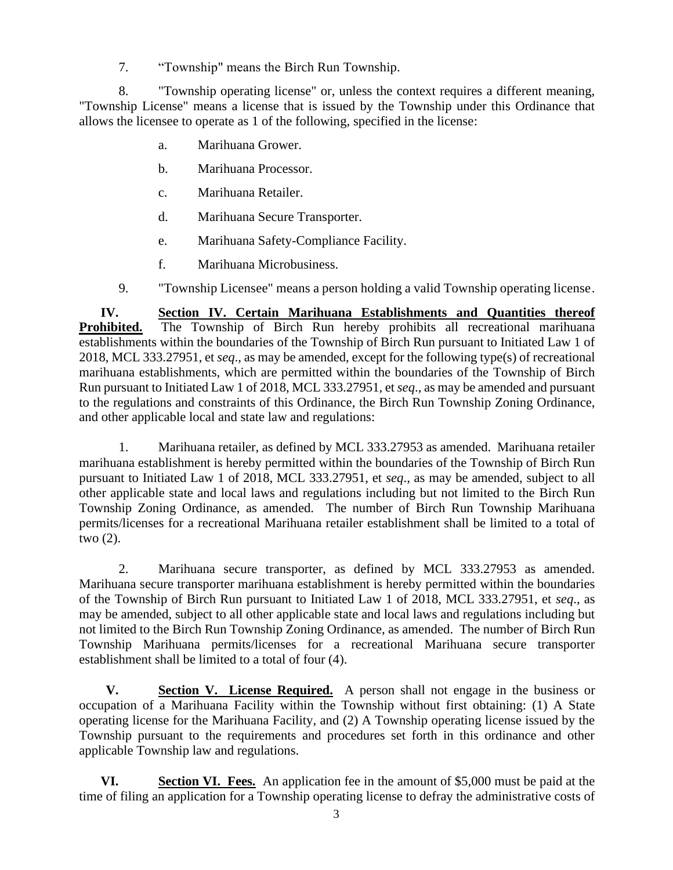7. "Township" means the Birch Run Township.

8. "Township operating license" or, unless the context requires a different meaning, "Township License" means a license that is issued by the Township under this Ordinance that allows the licensee to operate as 1 of the following, specified in the license:

- a. Marihuana Grower.
- b. Marihuana Processor.
- c. Marihuana Retailer.
- d. Marihuana Secure Transporter.
- e. Marihuana Safety-Compliance Facility.
- f. Marihuana Microbusiness.
- 9. "Township Licensee" means a person holding a valid Township operating license.

**IV. Section IV. Certain Marihuana Establishments and Quantities thereof Prohibited.** The Township of Birch Run hereby prohibits all recreational marihuana establishments within the boundaries of the Township of Birch Run pursuant to Initiated Law 1 of 2018, MCL 333.27951, et *seq*., as may be amended, except for the following type(s) of recreational marihuana establishments, which are permitted within the boundaries of the Township of Birch Run pursuant to Initiated Law 1 of 2018, MCL 333.27951, et *seq*., as may be amended and pursuant to the regulations and constraints of this Ordinance, the Birch Run Township Zoning Ordinance, and other applicable local and state law and regulations:

1. Marihuana retailer, as defined by MCL 333.27953 as amended. Marihuana retailer marihuana establishment is hereby permitted within the boundaries of the Township of Birch Run pursuant to Initiated Law 1 of 2018, MCL 333.27951, et *seq*., as may be amended, subject to all other applicable state and local laws and regulations including but not limited to the Birch Run Township Zoning Ordinance, as amended. The number of Birch Run Township Marihuana permits/licenses for a recreational Marihuana retailer establishment shall be limited to a total of two (2).

2. Marihuana secure transporter, as defined by MCL 333.27953 as amended. Marihuana secure transporter marihuana establishment is hereby permitted within the boundaries of the Township of Birch Run pursuant to Initiated Law 1 of 2018, MCL 333.27951, et *seq*., as may be amended, subject to all other applicable state and local laws and regulations including but not limited to the Birch Run Township Zoning Ordinance, as amended. The number of Birch Run Township Marihuana permits/licenses for a recreational Marihuana secure transporter establishment shall be limited to a total of four (4).

**V. Section V. License Required.** A person shall not engage in the business or occupation of a Marihuana Facility within the Township without first obtaining: (1) A State operating license for the Marihuana Facility, and (2) A Township operating license issued by the Township pursuant to the requirements and procedures set forth in this ordinance and other applicable Township law and regulations.

**VI. Section VI. Fees.** An application fee in the amount of \$5,000 must be paid at the time of filing an application for a Township operating license to defray the administrative costs of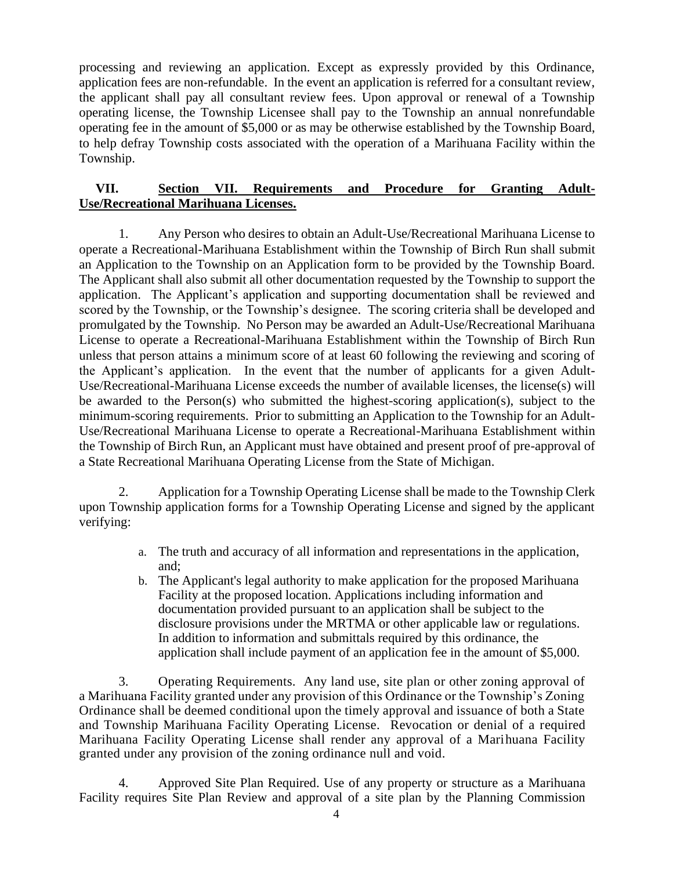processing and reviewing an application. Except as expressly provided by this Ordinance, application fees are non-refundable. In the event an application is referred for a consultant review, the applicant shall pay all consultant review fees. Upon approval or renewal of a Township operating license, the Township Licensee shall pay to the Township an annual nonrefundable operating fee in the amount of \$5,000 or as may be otherwise established by the Township Board, to help defray Township costs associated with the operation of a Marihuana Facility within the Township.

## **VII. Section VII. Requirements and Procedure for Granting Adult-Use/Recreational Marihuana Licenses.**

1. Any Person who desires to obtain an Adult-Use/Recreational Marihuana License to operate a Recreational-Marihuana Establishment within the Township of Birch Run shall submit an Application to the Township on an Application form to be provided by the Township Board. The Applicant shall also submit all other documentation requested by the Township to support the application. The Applicant's application and supporting documentation shall be reviewed and scored by the Township, or the Township's designee. The scoring criteria shall be developed and promulgated by the Township. No Person may be awarded an Adult-Use/Recreational Marihuana License to operate a Recreational-Marihuana Establishment within the Township of Birch Run unless that person attains a minimum score of at least 60 following the reviewing and scoring of the Applicant's application. In the event that the number of applicants for a given Adult-Use/Recreational-Marihuana License exceeds the number of available licenses, the license(s) will be awarded to the Person(s) who submitted the highest-scoring application(s), subject to the minimum-scoring requirements. Prior to submitting an Application to the Township for an Adult-Use/Recreational Marihuana License to operate a Recreational-Marihuana Establishment within the Township of Birch Run, an Applicant must have obtained and present proof of pre-approval of a State Recreational Marihuana Operating License from the State of Michigan.

2. Application for a Township Operating License shall be made to the Township Clerk upon Township application forms for a Township Operating License and signed by the applicant verifying:

- a. The truth and accuracy of all information and representations in the application, and;
- b. The Applicant's legal authority to make application for the proposed Marihuana Facility at the proposed location. Applications including information and documentation provided pursuant to an application shall be subject to the disclosure provisions under the MRTMA or other applicable law or regulations. In addition to information and submittals required by this ordinance, the application shall include payment of an application fee in the amount of \$5,000.

3. Operating Requirements. Any land use, site plan or other zoning approval of a Marihuana Facility granted under any provision of this Ordinance or the Township's Zoning Ordinance shall be deemed conditional upon the timely approval and issuance of both a State and Township Marihuana Facility Operating License. Revocation or denial of a required Marihuana Facility Operating License shall render any approval of a Marihuana Facility granted under any provision of the zoning ordinance null and void.

4. Approved Site Plan Required. Use of any property or structure as a Marihuana Facility requires Site Plan Review and approval of a site plan by the Planning Commission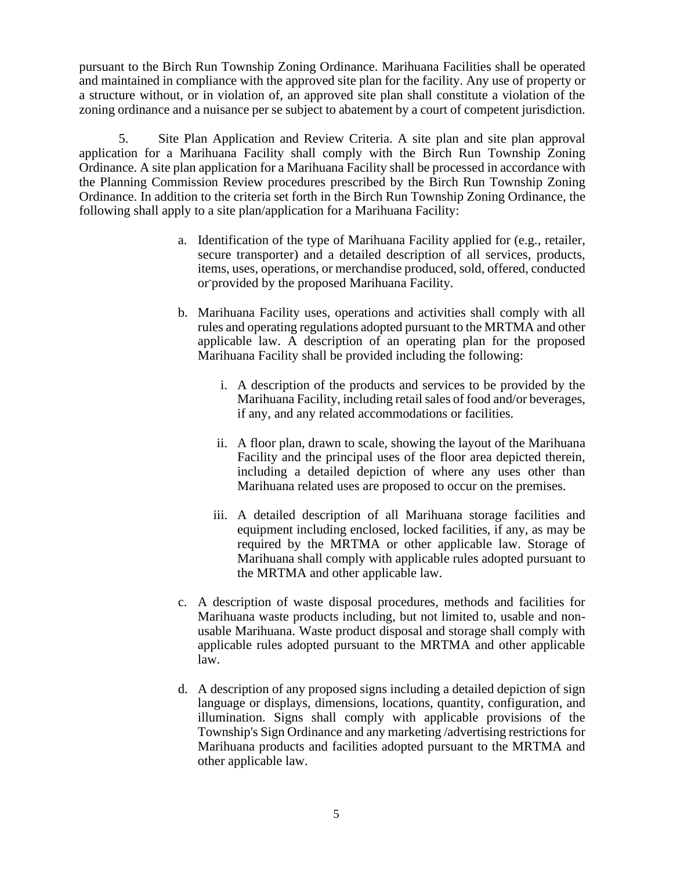pursuant to the Birch Run Township Zoning Ordinance. Marihuana Facilities shall be operated and maintained in compliance with the approved site plan for the facility. Any use of property or a structure without, or in violation of, an approved site plan shall constitute a violation of the zoning ordinance and a nuisance per se subject to abatement by a court of competent jurisdiction.

5. Site Plan Application and Review Criteria. A site plan and site plan approval application for a Marihuana Facility shall comply with the Birch Run Township Zoning Ordinance. A site plan application for a Marihuana Facility shall be processed in accordance with the Planning Commission Review procedures prescribed by the Birch Run Township Zoning Ordinance. In addition to the criteria set forth in the Birch Run Township Zoning Ordinance, the following shall apply to a site plan/application for a Marihuana Facility:

- a. Identification of the type of Marihuana Facility applied for (e.g., retailer, secure transporter) and a detailed description of all services, products, items, uses, operations, or merchandise produced, sold, offered, conducted or-provided by the proposed Marihuana Facility.
- b. Marihuana Facility uses, operations and activities shall comply with all rules and operating regulations adopted pursuant to the MRTMA and other applicable law. A description of an operating plan for the proposed Marihuana Facility shall be provided including the following:
	- i. A description of the products and services to be provided by the Marihuana Facility, including retail sales of food and/or beverages, if any, and any related accommodations or facilities.
	- ii. A floor plan, drawn to scale, showing the layout of the Marihuana Facility and the principal uses of the floor area depicted therein, including a detailed depiction of where any uses other than Marihuana related uses are proposed to occur on the premises.
	- iii. A detailed description of all Marihuana storage facilities and equipment including enclosed, locked facilities, if any, as may be required by the MRTMA or other applicable law. Storage of Marihuana shall comply with applicable rules adopted pursuant to the MRTMA and other applicable law.
- c. A description of waste disposal procedures, methods and facilities for Marihuana waste products including, but not limited to, usable and nonusable Marihuana. Waste product disposal and storage shall comply with applicable rules adopted pursuant to the MRTMA and other applicable law.
- d. A description of any proposed signs including a detailed depiction of sign language or displays, dimensions, locations, quantity, configuration, and illumination. Signs shall comply with applicable provisions of the Township's Sign Ordinance and any marketing /advertising restrictions for Marihuana products and facilities adopted pursuant to the MRTMA and other applicable law.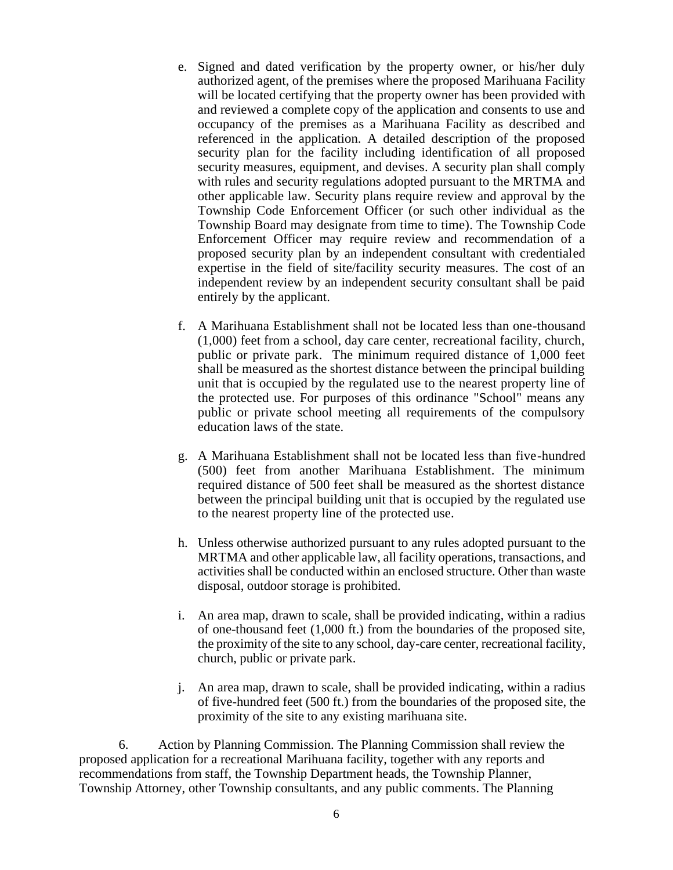- e. Signed and dated verification by the property owner, or his/her duly authorized agent, of the premises where the proposed Marihuana Facility will be located certifying that the property owner has been provided with and reviewed a complete copy of the application and consents to use and occupancy of the premises as a Marihuana Facility as described and referenced in the application. A detailed description of the proposed security plan for the facility including identification of all proposed security measures, equipment, and devises. A security plan shall comply with rules and security regulations adopted pursuant to the MRTMA and other applicable law. Security plans require review and approval by the Township Code Enforcement Officer (or such other individual as the Township Board may designate from time to time). The Township Code Enforcement Officer may require review and recommendation of a proposed security plan by an independent consultant with credentialed expertise in the field of site/facility security measures. The cost of an independent review by an independent security consultant shall be paid entirely by the applicant.
- f. A Marihuana Establishment shall not be located less than one-thousand (1,000) feet from a school, day care center, recreational facility, church, public or private park. The minimum required distance of 1,000 feet shall be measured as the shortest distance between the principal building unit that is occupied by the regulated use to the nearest property line of the protected use. For purposes of this ordinance "School" means any public or private school meeting all requirements of the compulsory education laws of the state.
- g. A Marihuana Establishment shall not be located less than five-hundred (500) feet from another Marihuana Establishment. The minimum required distance of 500 feet shall be measured as the shortest distance between the principal building unit that is occupied by the regulated use to the nearest property line of the protected use.
- h. Unless otherwise authorized pursuant to any rules adopted pursuant to the MRTMA and other applicable law, all facility operations, transactions, and activities shall be conducted within an enclosed structure. Other than waste disposal, outdoor storage is prohibited.
- i. An area map, drawn to scale, shall be provided indicating, within a radius of one-thousand feet (1,000 ft.) from the boundaries of the proposed site, the proximity of the site to any school, day-care center, recreational facility, church, public or private park.
- j. An area map, drawn to scale, shall be provided indicating, within a radius of five-hundred feet (500 ft.) from the boundaries of the proposed site, the proximity of the site to any existing marihuana site.

6. Action by Planning Commission. The Planning Commission shall review the proposed application for a recreational Marihuana facility, together with any reports and recommendations from staff, the Township Department heads, the Township Planner, Township Attorney, other Township consultants, and any public comments. The Planning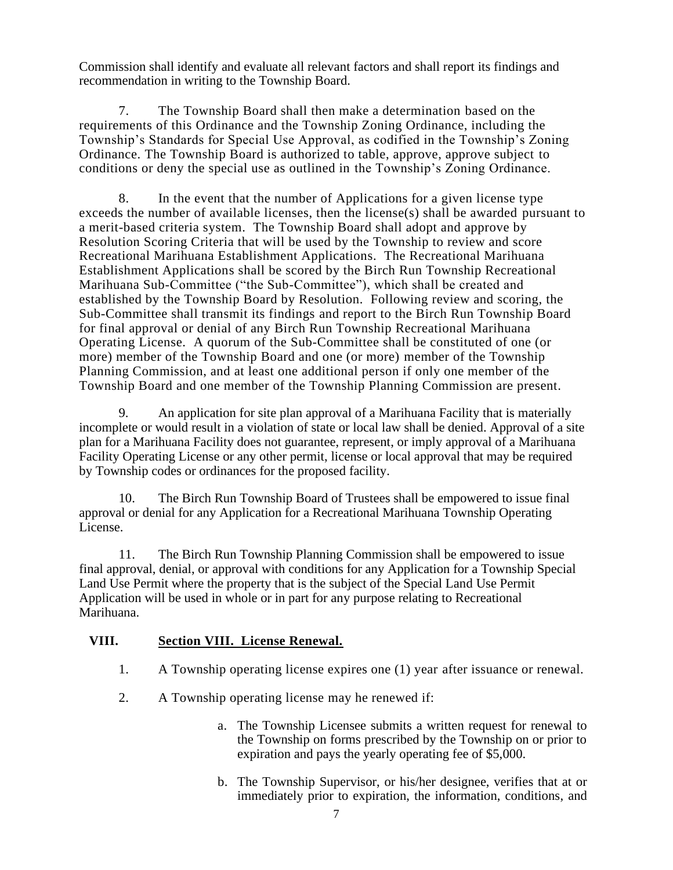Commission shall identify and evaluate all relevant factors and shall report its findings and recommendation in writing to the Township Board.

7. The Township Board shall then make a determination based on the requirements of this Ordinance and the Township Zoning Ordinance, including the Township's Standards for Special Use Approval, as codified in the Township's Zoning Ordinance. The Township Board is authorized to table, approve, approve subject to conditions or deny the special use as outlined in the Township's Zoning Ordinance.

8. In the event that the number of Applications for a given license type exceeds the number of available licenses, then the license(s) shall be awarded pursuant to a merit-based criteria system. The Township Board shall adopt and approve by Resolution Scoring Criteria that will be used by the Township to review and score Recreational Marihuana Establishment Applications. The Recreational Marihuana Establishment Applications shall be scored by the Birch Run Township Recreational Marihuana Sub-Committee ("the Sub-Committee"), which shall be created and established by the Township Board by Resolution. Following review and scoring, the Sub-Committee shall transmit its findings and report to the Birch Run Township Board for final approval or denial of any Birch Run Township Recreational Marihuana Operating License. A quorum of the Sub-Committee shall be constituted of one (or more) member of the Township Board and one (or more) member of the Township Planning Commission, and at least one additional person if only one member of the Township Board and one member of the Township Planning Commission are present.

9. An application for site plan approval of a Marihuana Facility that is materially incomplete or would result in a violation of state or local law shall be denied. Approval of a site plan for a Marihuana Facility does not guarantee, represent, or imply approval of a Marihuana Facility Operating License or any other permit, license or local approval that may be required by Township codes or ordinances for the proposed facility.

10. The Birch Run Township Board of Trustees shall be empowered to issue final approval or denial for any Application for a Recreational Marihuana Township Operating License.

11. The Birch Run Township Planning Commission shall be empowered to issue final approval, denial, or approval with conditions for any Application for a Township Special Land Use Permit where the property that is the subject of the Special Land Use Permit Application will be used in whole or in part for any purpose relating to Recreational Marihuana.

## **VIII. Section VIII. License Renewal.**

- 1. A Township operating license expires one (1) year after issuance or renewal.
- 2. A Township operating license may he renewed if:
	- a. The Township Licensee submits a written request for renewal to the Township on forms prescribed by the Township on or prior to expiration and pays the yearly operating fee of \$5,000.
	- b. The Township Supervisor, or his/her designee, verifies that at or immediately prior to expiration, the information, conditions, and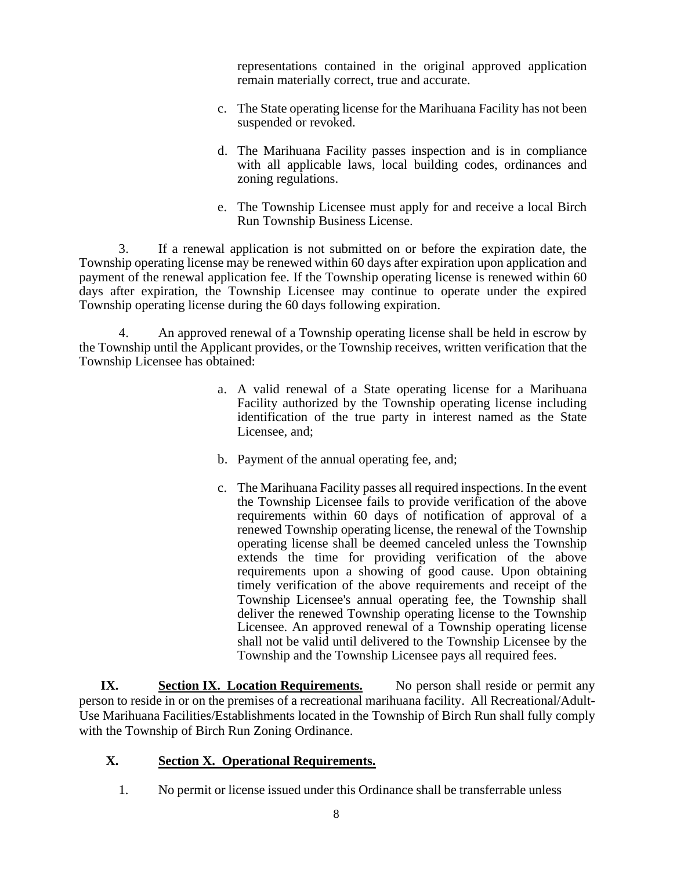representations contained in the original approved application remain materially correct, true and accurate.

- c. The State operating license for the Marihuana Facility has not been suspended or revoked.
- d. The Marihuana Facility passes inspection and is in compliance with all applicable laws, local building codes, ordinances and zoning regulations.
- e. The Township Licensee must apply for and receive a local Birch Run Township Business License.

3. If a renewal application is not submitted on or before the expiration date, the Township operating license may be renewed within 60 days after expiration upon application and payment of the renewal application fee. If the Township operating license is renewed within 60 days after expiration, the Township Licensee may continue to operate under the expired Township operating license during the 60 days following expiration.

4. An approved renewal of a Township operating license shall be held in escrow by the Township until the Applicant provides, or the Township receives, written verification that the Township Licensee has obtained:

- a. A valid renewal of a State operating license for a Marihuana Facility authorized by the Township operating license including identification of the true party in interest named as the State Licensee, and;
- b. Payment of the annual operating fee, and;
- c. The Marihuana Facility passes all required inspections. In the event the Township Licensee fails to provide verification of the above requirements within 60 days of notification of approval of a renewed Township operating license, the renewal of the Township operating license shall be deemed canceled unless the Township extends the time for providing verification of the above requirements upon a showing of good cause. Upon obtaining timely verification of the above requirements and receipt of the Township Licensee's annual operating fee, the Township shall deliver the renewed Township operating license to the Township Licensee. An approved renewal of a Township operating license shall not be valid until delivered to the Township Licensee by the Township and the Township Licensee pays all required fees.

**IX. Section IX. Location Requirements.** No person shall reside or permit any person to reside in or on the premises of a recreational marihuana facility. All Recreational/Adult-Use Marihuana Facilities/Establishments located in the Township of Birch Run shall fully comply with the Township of Birch Run Zoning Ordinance.

#### **X. Section X. Operational Requirements.**

1. No permit or license issued under this Ordinance shall be transferrable unless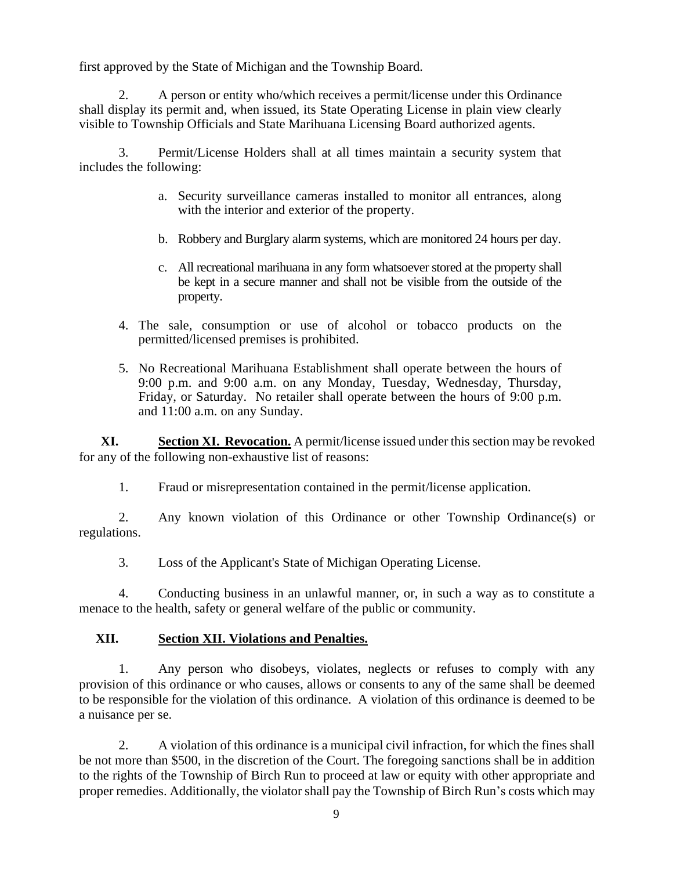first approved by the State of Michigan and the Township Board.

2. A person or entity who/which receives a permit/license under this Ordinance shall display its permit and, when issued, its State Operating License in plain view clearly visible to Township Officials and State Marihuana Licensing Board authorized agents.

3. Permit/License Holders shall at all times maintain a security system that includes the following:

- a. Security surveillance cameras installed to monitor all entrances, along with the interior and exterior of the property.
- b. Robbery and Burglary alarm systems, which are monitored 24 hours per day.
- c. All recreational marihuana in any form whatsoever stored at the property shall be kept in a secure manner and shall not be visible from the outside of the property.
- 4. The sale, consumption or use of alcohol or tobacco products on the permitted/licensed premises is prohibited.
- 5. No Recreational Marihuana Establishment shall operate between the hours of 9:00 p.m. and 9:00 a.m. on any Monday, Tuesday, Wednesday, Thursday, Friday, or Saturday. No retailer shall operate between the hours of 9:00 p.m. and 11:00 a.m. on any Sunday.

**XI. Section XI. Revocation.** A permit/license issued under this section may be revoked for any of the following non-exhaustive list of reasons:

1. Fraud or misrepresentation contained in the permit/license application.

2. Any known violation of this Ordinance or other Township Ordinance(s) or regulations.

3. Loss of the Applicant's State of Michigan Operating License.

4. Conducting business in an unlawful manner, or, in such a way as to constitute a menace to the health, safety or general welfare of the public or community.

#### **XII. Section XII. Violations and Penalties.**

1. Any person who disobeys, violates, neglects or refuses to comply with any provision of this ordinance or who causes, allows or consents to any of the same shall be deemed to be responsible for the violation of this ordinance. A violation of this ordinance is deemed to be a nuisance per se.

2. A violation of this ordinance is a municipal civil infraction, for which the fines shall be not more than \$500, in the discretion of the Court. The foregoing sanctions shall be in addition to the rights of the Township of Birch Run to proceed at law or equity with other appropriate and proper remedies. Additionally, the violator shall pay the Township of Birch Run's costs which may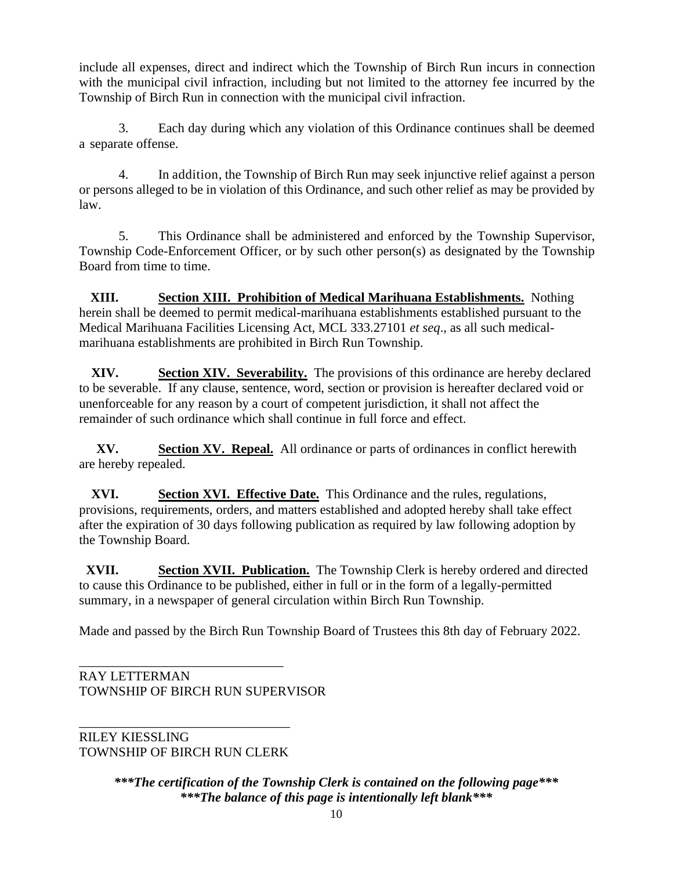include all expenses, direct and indirect which the Township of Birch Run incurs in connection with the municipal civil infraction, including but not limited to the attorney fee incurred by the Township of Birch Run in connection with the municipal civil infraction.

3. Each day during which any violation of this Ordinance continues shall be deemed a separate offense.

4. In addition, the Township of Birch Run may seek injunctive relief against a person or persons alleged to be in violation of this Ordinance, and such other relief as may be provided by law.

5. This Ordinance shall be administered and enforced by the Township Supervisor, Township Code-Enforcement Officer, or by such other person(s) as designated by the Township Board from time to time.

**XIII. Section XIII. Prohibition of Medical Marihuana Establishments.** Nothing herein shall be deemed to permit medical-marihuana establishments established pursuant to the Medical Marihuana Facilities Licensing Act, MCL 333.27101 *et seq*., as all such medicalmarihuana establishments are prohibited in Birch Run Township.

**XIV. Section XIV. Severability.** The provisions of this ordinance are hereby declared to be severable. If any clause, sentence, word, section or provision is hereafter declared void or unenforceable for any reason by a court of competent jurisdiction, it shall not affect the remainder of such ordinance which shall continue in full force and effect.

**XV. Section XV. Repeal.** All ordinance or parts of ordinances in conflict herewith are hereby repealed.

**XVI. Section XVI. Effective Date.** This Ordinance and the rules, regulations, provisions, requirements, orders, and matters established and adopted hereby shall take effect after the expiration of 30 days following publication as required by law following adoption by the Township Board.

**XVII. Section XVII. Publication.** The Township Clerk is hereby ordered and directed to cause this Ordinance to be published, either in full or in the form of a legally-permitted summary, in a newspaper of general circulation within Birch Run Township.

Made and passed by the Birch Run Township Board of Trustees this 8th day of February 2022.

\_\_\_\_\_\_\_\_\_\_\_\_\_\_\_\_\_\_\_\_\_\_\_\_\_\_\_\_\_\_\_ RAY LETTERMAN TOWNSHIP OF BIRCH RUN SUPERVISOR

\_\_\_\_\_\_\_\_\_\_\_\_\_\_\_\_\_\_\_\_\_\_\_\_\_\_\_\_\_\_\_\_ RILEY KIESSLING TOWNSHIP OF BIRCH RUN CLERK

> *\*\*\*The certification of the Township Clerk is contained on the following page\*\*\* \*\*\*The balance of this page is intentionally left blank\*\*\**